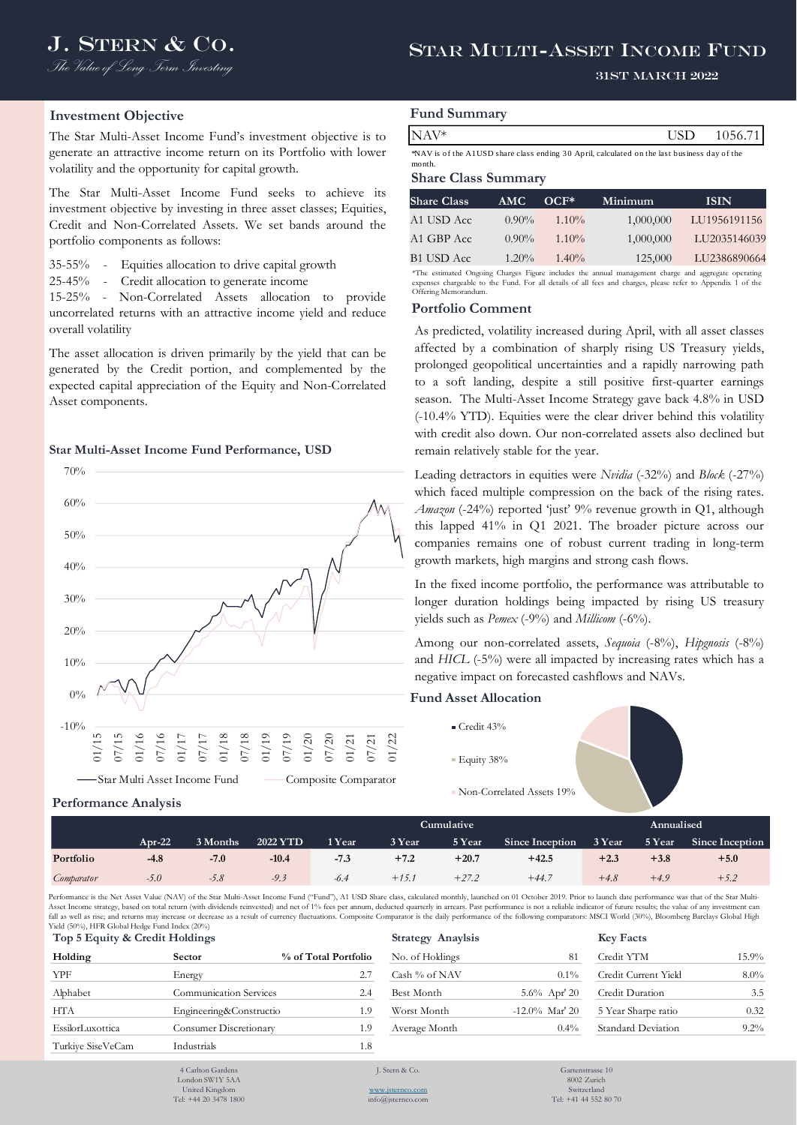# J. STERN & CO. STAR MULTI-ASSET INCOME FUND

### 31st March 2022

## **Investment Objective**

The Star Multi-Asset Income Fund's investment objective is to generate an attractive income return on its Portfolio with lower volatility and the opportunity for capital growth.

The Star Multi-Asset Income Fund seeks to achieve its investment objective by investing in three asset classes; Equities, Credit and Non-Correlated Assets. We set bands around the portfolio components as follows:

35-55% - Equities allocation to drive capital growth

25-45% - Credit allocation to generate income

15-25% - Non-Correlated Assets allocation to provide uncorrelated returns with an attractive income yield and reduce overall volatility

The asset allocation is driven primarily by the yield that can be generated by the Credit portion, and complemented by the expected capital appreciation of the Equity and Non-Correlated Asset components.

#### **Star Multi-Asset Income Fund Performance, USD**



## **Fund Summary**

| √AV*                                                                                        | USD 1056.71 |
|---------------------------------------------------------------------------------------------|-------------|
| NAV is of the A1USD share class ending 30 April, calculated on the last business day of the |             |

month.

#### **Share Class Summary**

| <b>Share Class</b> | <b>AMC</b> | $OCF*$   | Minimum   | <b>ISIN</b>                                                                                         |
|--------------------|------------|----------|-----------|-----------------------------------------------------------------------------------------------------|
| A1 USD Acc         | $0.90\%$   | $1.10\%$ | 1,000,000 | LU1956191156                                                                                        |
| A1 GBP Acc         | $0.90\%$   | $1.10\%$ | 1,000,000 | LU2035146039                                                                                        |
| <b>B1 USD Acc</b>  | $1.20\%$   | $1.40\%$ | 125,000   | LU2386890664                                                                                        |
|                    |            |          |           | *The estimated Ongoing Charges Figure includes the annual management charge and aggregate operating |

expenses chargeable to the Fund. For all details of all fees and charges, please refer to Appendix 1 of the Offering Memorandum.

#### **Portfolio Comment**

**Cumulative Annualised** NAV\* USD 1056.71 As predicted, volatility increased during April, with all asset classes affected by a combination of sharply rising US Treasury yields, prolonged geopolitical uncertainties and a rapidly narrowing path to a soft landing, despite a still positive first-quarter earnings season. The Multi-Asset Income Strategy gave back 4.8% in USD (-10.4% YTD). Equities were the clear driver behind this volatility with credit also down. Our non-correlated assets also declined but remain relatively stable for the year.

Leading detractors in equities were *Nvidia* (-32%) and *Block* (-27%) which faced multiple compression on the back of the rising rates. *Amazon* (-24%) reported 'just' 9% revenue growth in Q1, although this lapped 41% in Q1 2021. The broader picture across our companies remains one of robust current trading in long-term growth markets, high margins and strong cash flows.

In the fixed income portfolio, the performance was attributable to longer duration holdings being impacted by rising US treasury yields such as *Pemex* (-9%) and *Millicom* (-6%).

Among our non-correlated assets, *Sequoia* (-8%), *Hipgnosis* (-8%) and *HICL* (-5%) were all impacted by increasing rates which has a negative impact on forecasted cashflows and NAVs.

## **Fund Asset Allocation**

- Credit 43%
- **Equity 38%**
- 
- Non-Correlated Assets 19%

| <b>Performance Analysis</b> |  |  |
|-----------------------------|--|--|
|-----------------------------|--|--|

|            |        |          |          |        | Cumulative |         | Annualised             |        |        |                 |
|------------|--------|----------|----------|--------|------------|---------|------------------------|--------|--------|-----------------|
|            | Apr-22 | 3 Months | 2022 YTD | 1 Year | 3 Year     | 5 Year  | <b>Since Inception</b> | 3 Year | 5 Year | Since Inception |
| Portfolio  | $-4.8$ | $-7.0$   | $-10.4$  | $-7.3$ | $+7.2$     | $+20.7$ | $+42.5$                | $+2.3$ | $+3.8$ | $+5.0$          |
| Comparator | $-5.0$ | -5.8     | $-9.3$   | -6.4   | $+15.7$    | $+27.2$ | $+44.7$                | $+4.8$ | $+4.9$ | $+5.2$          |

Performance is the Net Asset Value (NAV) of the Star Multi-Asset Income Fund ("Fund"), A1 USD Share class, calculated monthly, launched on 01 October 2019. Prior to launch date performance was that of the Star Multi-Asset Income strategy, based on total return (with dividends reinvested) and net of 1% fees per annum, deducted quarterly in arrears. Past performance is not a reliable indicator of future results; the value of any investm fall as well as rise; and returns may increase or decrease as a result of currency fluctuations. Composite Comparator is the daily performance of the following comparators: MSCI World (30%), Bloomberg Barclays Global High Yield (50%), HFR Global Hedge Fund Index (20%)

| Top 5 Equity & Credit Holdings |                               |                      | <b>Strategy Anaylsis</b> |                   | <b>Key Facts</b>     |         |
|--------------------------------|-------------------------------|----------------------|--------------------------|-------------------|----------------------|---------|
| Holding                        | Sector                        | % of Total Portfolio | No. of Holdings          | 81                | Credit YTM           | 15.9%   |
| YPF                            | Energy                        | 2.7                  | Cash % of NAV            | $0.1\%$           | Credit Current Yield | $8.0\%$ |
| Alphabet                       | <b>Communication Services</b> | 2.4                  | Best Month               | $5.6\%$ Apr' 20   | Credit Duration      | 3.5     |
| <b>HTA</b>                     | Engineering&Constructio       | 1.9                  | Worst Month              | $-12.0\%$ Mar' 20 | 5 Year Sharpe ratio  | 0.32    |
| EssilorLuxottica               | Consumer Discretionary        | 1.9                  | Average Month            | $0.4\%$           | Standard Deviation   | $9.2\%$ |
| Turkive SiseVeCam              | Industrials                   | 1.8                  |                          |                   |                      |         |
|                                | 4 Carlton Gardens             |                      | L. Stern $& Co.$         | Gartenstrasse 10  |                      |         |

| $\mathbf{N}$ $\mathbf{V}$ $\mathbf{I}$ acts |          |
|---------------------------------------------|----------|
| Credit YTM                                  | $15.9\%$ |
| Credit Current Yield                        | 8.0%     |
| Credit Duration                             | 3.5      |
| 5 Year Sharpe ratio                         | 0.32     |
| Standard Deviation                          | $9.2\%$  |

<sup>4</sup> Carlton Gar London SW1Y 5AA United Kingdom

Tel: +44 20 3478 1800

[www.jsternco.com](http://www.jsternco.com/) info@jsternco.com

8002 Zurich Switzerland Tel: +41 44 552 80 70